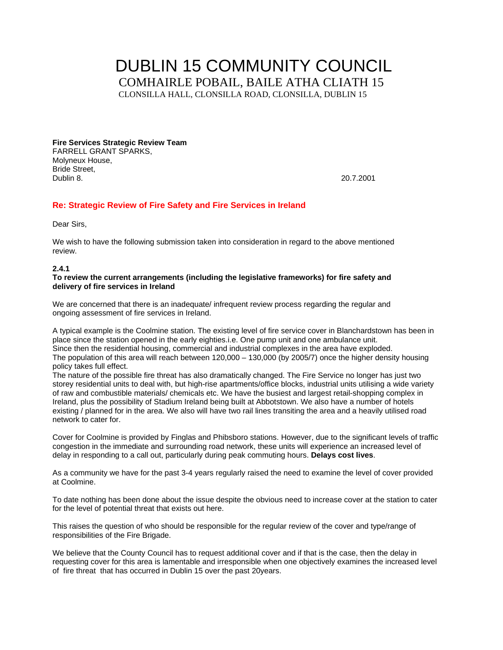# DUBLIN 15 COMMUNITY COUNCIL COMHAIRLE POBAIL, BAILE ATHA CLIATH 15 CLONSILLA HALL, CLONSILLA ROAD, CLONSILLA, DUBLIN 15

**Fire Services Strategic Review Team**  FARRELL GRANT SPARKS, Molyneux House, Bride Street, Dublin 8. 20.7.2001

#### **Re: Strategic Review of Fire Safety and Fire Services in Ireland**

Dear Sirs,

We wish to have the following submission taken into consideration in regard to the above mentioned review.

#### **2.4.1**

#### **To review the current arrangements (including the legislative frameworks) for fire safety and delivery of fire services in Ireland**

We are concerned that there is an inadequate/ infrequent review process regarding the regular and ongoing assessment of fire services in Ireland.

A typical example is the Coolmine station. The existing level of fire service cover in Blanchardstown has been in place since the station opened in the early eighties.i.e. One pump unit and one ambulance unit. Since then the residential housing, commercial and industrial complexes in the area have exploded. The population of this area will reach between 120,000 – 130,000 (by 2005/7) once the higher density housing policy takes full effect.

The nature of the possible fire threat has also dramatically changed. The Fire Service no longer has just two storey residential units to deal with, but high-rise apartments/office blocks, industrial units utilising a wide variety of raw and combustible materials/ chemicals etc. We have the busiest and largest retail-shopping complex in Ireland, plus the possibility of Stadium Ireland being built at Abbotstown. We also have a number of hotels existing / planned for in the area. We also will have two rail lines transiting the area and a heavily utilised road network to cater for.

Cover for Coolmine is provided by Finglas and Phibsboro stations. However, due to the significant levels of traffic congestion in the immediate and surrounding road network, these units will experience an increased level of delay in responding to a call out, particularly during peak commuting hours. **Delays cost lives**.

As a community we have for the past 3-4 years regularly raised the need to examine the level of cover provided at Coolmine.

To date nothing has been done about the issue despite the obvious need to increase cover at the station to cater for the level of potential threat that exists out here.

This raises the question of who should be responsible for the regular review of the cover and type/range of responsibilities of the Fire Brigade.

We believe that the County Council has to request additional cover and if that is the case, then the delay in requesting cover for this area is lamentable and irresponsible when one objectively examines the increased level of fire threat that has occurred in Dublin 15 over the past 20years.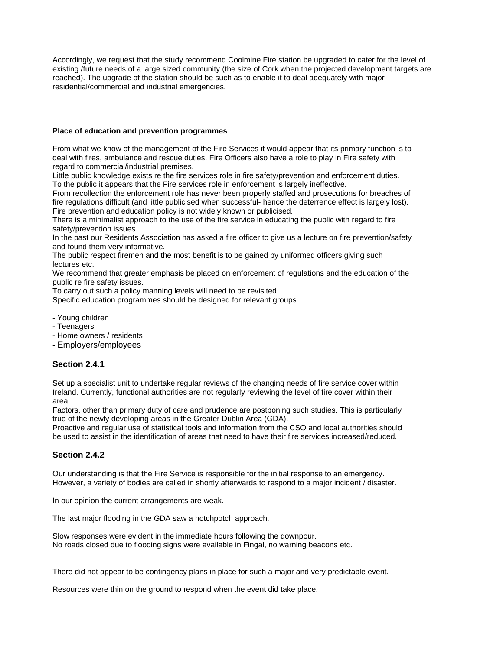Accordingly, we request that the study recommend Coolmine Fire station be upgraded to cater for the level of existing /future needs of a large sized community (the size of Cork when the projected development targets are reached). The upgrade of the station should be such as to enable it to deal adequately with major residential/commercial and industrial emergencies.

#### **Place of education and prevention programmes**

From what we know of the management of the Fire Services it would appear that its primary function is to deal with fires, ambulance and rescue duties. Fire Officers also have a role to play in Fire safety with regard to commercial/industrial premises.

Little public knowledge exists re the fire services role in fire safety/prevention and enforcement duties. To the public it appears that the Fire services role in enforcement is largely ineffective.

From recollection the enforcement role has never been properly staffed and prosecutions for breaches of fire regulations difficult (and little publicised when successful- hence the deterrence effect is largely lost). Fire prevention and education policy is not widely known or publicised.

There is a minimalist approach to the use of the fire service in educating the public with regard to fire safety/prevention issues.

In the past our Residents Association has asked a fire officer to give us a lecture on fire prevention/safety and found them very informative.

The public respect firemen and the most benefit is to be gained by uniformed officers giving such lectures etc.

We recommend that greater emphasis be placed on enforcement of regulations and the education of the public re fire safety issues.

To carry out such a policy manning levels will need to be revisited.

Specific education programmes should be designed for relevant groups

- Young children
- Teenagers
- Home owners / residents
- Employers/employees

#### **Section 2.4.1**

Set up a specialist unit to undertake regular reviews of the changing needs of fire service cover within Ireland. Currently, functional authorities are not regularly reviewing the level of fire cover within their area.

Factors, other than primary duty of care and prudence are postponing such studies. This is particularly true of the newly developing areas in the Greater Dublin Area (GDA).

Proactive and regular use of statistical tools and information from the CSO and local authorities should be used to assist in the identification of areas that need to have their fire services increased/reduced.

#### **Section 2.4.2**

Our understanding is that the Fire Service is responsible for the initial response to an emergency. However, a variety of bodies are called in shortly afterwards to respond to a major incident / disaster.

In our opinion the current arrangements are weak.

The last major flooding in the GDA saw a hotchpotch approach.

Slow responses were evident in the immediate hours following the downpour. No roads closed due to flooding signs were available in Fingal, no warning beacons etc.

There did not appear to be contingency plans in place for such a major and very predictable event.

Resources were thin on the ground to respond when the event did take place.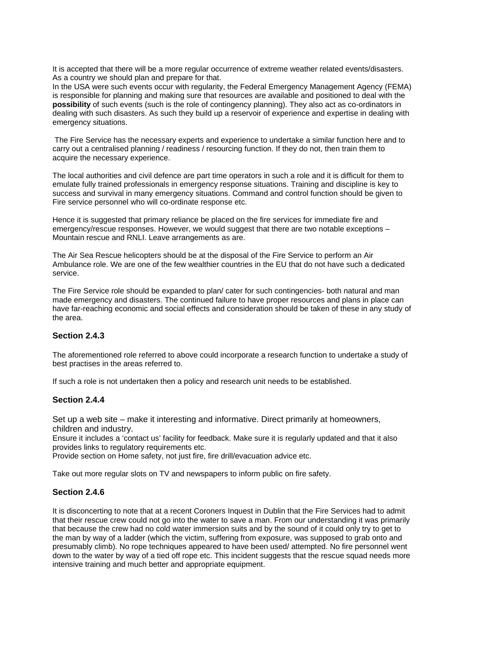It is accepted that there will be a more regular occurrence of extreme weather related events/disasters. As a country we should plan and prepare for that.

In the USA were such events occur with regularity, the Federal Emergency Management Agency (FEMA) is responsible for planning and making sure that resources are available and positioned to deal with the **possibility** of such events (such is the role of contingency planning). They also act as co-ordinators in dealing with such disasters. As such they build up a reservoir of experience and expertise in dealing with emergency situations.

 The Fire Service has the necessary experts and experience to undertake a similar function here and to carry out a centralised planning / readiness / resourcing function. If they do not, then train them to acquire the necessary experience.

The local authorities and civil defence are part time operators in such a role and it is difficult for them to emulate fully trained professionals in emergency response situations. Training and discipline is key to success and survival in many emergency situations. Command and control function should be given to Fire service personnel who will co-ordinate response etc.

Hence it is suggested that primary reliance be placed on the fire services for immediate fire and emergency/rescue responses. However, we would suggest that there are two notable exceptions – Mountain rescue and RNLI. Leave arrangements as are.

The Air Sea Rescue helicopters should be at the disposal of the Fire Service to perform an Air Ambulance role. We are one of the few wealthier countries in the EU that do not have such a dedicated service.

The Fire Service role should be expanded to plan/ cater for such contingencies- both natural and man made emergency and disasters. The continued failure to have proper resources and plans in place can have far-reaching economic and social effects and consideration should be taken of these in any study of the area.

#### **Section 2.4.3**

The aforementioned role referred to above could incorporate a research function to undertake a study of best practises in the areas referred to.

If such a role is not undertaken then a policy and research unit needs to be established.

#### **Section 2.4.4**

Set up a web site – make it interesting and informative. Direct primarily at homeowners, children and industry.

Ensure it includes a 'contact us' facility for feedback. Make sure it is regularly updated and that it also provides links to regulatory requirements etc.

Provide section on Home safety, not just fire, fire drill/evacuation advice etc.

Take out more regular slots on TV and newspapers to inform public on fire safety.

#### **Section 2.4.6**

It is disconcerting to note that at a recent Coroners Inquest in Dublin that the Fire Services had to admit that their rescue crew could not go into the water to save a man. From our understanding it was primarily that because the crew had no cold water immersion suits and by the sound of it could only try to get to the man by way of a ladder (which the victim, suffering from exposure, was supposed to grab onto and presumably climb). No rope techniques appeared to have been used/ attempted. No fire personnel went down to the water by way of a tied off rope etc. This incident suggests that the rescue squad needs more intensive training and much better and appropriate equipment.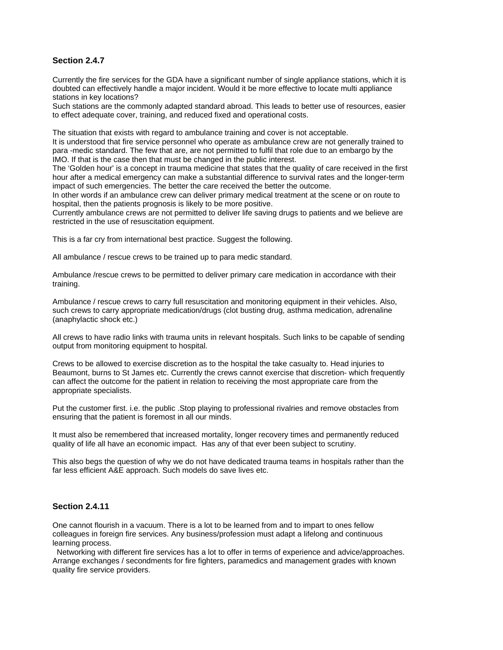#### **Section 2.4.7**

Currently the fire services for the GDA have a significant number of single appliance stations, which it is doubted can effectively handle a major incident. Would it be more effective to locate multi appliance stations in key locations?

Such stations are the commonly adapted standard abroad. This leads to better use of resources, easier to effect adequate cover, training, and reduced fixed and operational costs.

The situation that exists with regard to ambulance training and cover is not acceptable.

It is understood that fire service personnel who operate as ambulance crew are not generally trained to para -medic standard. The few that are, are not permitted to fulfil that role due to an embargo by the IMO. If that is the case then that must be changed in the public interest.

The 'Golden hour' is a concept in trauma medicine that states that the quality of care received in the first hour after a medical emergency can make a substantial difference to survival rates and the longer-term impact of such emergencies. The better the care received the better the outcome.

In other words if an ambulance crew can deliver primary medical treatment at the scene or on route to hospital, then the patients prognosis is likely to be more positive.

Currently ambulance crews are not permitted to deliver life saving drugs to patients and we believe are restricted in the use of resuscitation equipment.

This is a far cry from international best practice. Suggest the following.

All ambulance / rescue crews to be trained up to para medic standard.

Ambulance /rescue crews to be permitted to deliver primary care medication in accordance with their training.

Ambulance / rescue crews to carry full resuscitation and monitoring equipment in their vehicles. Also, such crews to carry appropriate medication/drugs (clot busting drug, asthma medication, adrenaline (anaphylactic shock etc.)

All crews to have radio links with trauma units in relevant hospitals. Such links to be capable of sending output from monitoring equipment to hospital.

Crews to be allowed to exercise discretion as to the hospital the take casualty to. Head injuries to Beaumont, burns to St James etc. Currently the crews cannot exercise that discretion- which frequently can affect the outcome for the patient in relation to receiving the most appropriate care from the appropriate specialists.

Put the customer first. i.e. the public .Stop playing to professional rivalries and remove obstacles from ensuring that the patient is foremost in all our minds.

It must also be remembered that increased mortality, longer recovery times and permanently reduced quality of life all have an economic impact. Has any of that ever been subject to scrutiny.

This also begs the question of why we do not have dedicated trauma teams in hospitals rather than the far less efficient A&E approach. Such models do save lives etc.

#### **Section 2.4.11**

One cannot flourish in a vacuum. There is a lot to be learned from and to impart to ones fellow colleagues in foreign fire services. Any business/profession must adapt a lifelong and continuous learning process.

 Networking with different fire services has a lot to offer in terms of experience and advice/approaches. Arrange exchanges / secondments for fire fighters, paramedics and management grades with known quality fire service providers.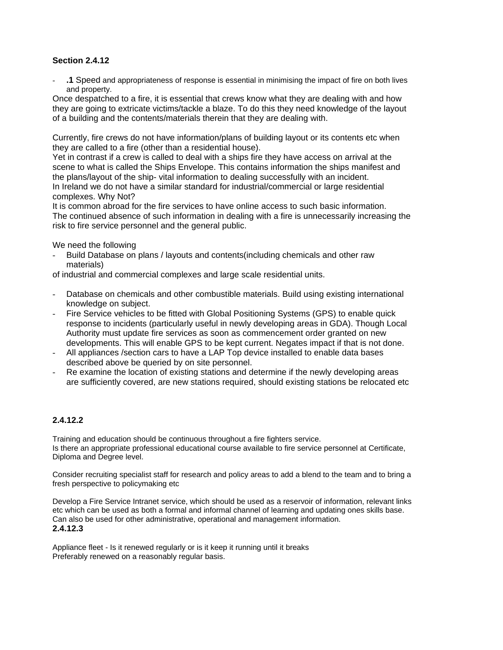#### **Section 2.4.12**

- **.1** Speed and appropriateness of response is essential in minimising the impact of fire on both lives and property.

Once despatched to a fire, it is essential that crews know what they are dealing with and how they are going to extricate victims/tackle a blaze. To do this they need knowledge of the layout of a building and the contents/materials therein that they are dealing with.

Currently, fire crews do not have information/plans of building layout or its contents etc when they are called to a fire (other than a residential house).

Yet in contrast if a crew is called to deal with a ships fire they have access on arrival at the scene to what is called the Ships Envelope. This contains information the ships manifest and the plans/layout of the ship- vital information to dealing successfully with an incident. In Ireland we do not have a similar standard for industrial/commercial or large residential complexes. Why Not?

It is common abroad for the fire services to have online access to such basic information. The continued absence of such information in dealing with a fire is unnecessarily increasing the risk to fire service personnel and the general public.

We need the following

- Build Database on plans / layouts and contents(including chemicals and other raw materials)

of industrial and commercial complexes and large scale residential units.

- Database on chemicals and other combustible materials. Build using existing international knowledge on subject.
- Fire Service vehicles to be fitted with Global Positioning Systems (GPS) to enable quick response to incidents (particularly useful in newly developing areas in GDA). Though Local Authority must update fire services as soon as commencement order granted on new developments. This will enable GPS to be kept current. Negates impact if that is not done.
- All appliances / section cars to have a LAP Top device installed to enable data bases described above be queried by on site personnel.
- Re examine the location of existing stations and determine if the newly developing areas are sufficiently covered, are new stations required, should existing stations be relocated etc

## **2.4.12.2**

Training and education should be continuous throughout a fire fighters service. Is there an appropriate professional educational course available to fire service personnel at Certificate, Diploma and Degree level.

Consider recruiting specialist staff for research and policy areas to add a blend to the team and to bring a fresh perspective to policymaking etc

Develop a Fire Service Intranet service, which should be used as a reservoir of information, relevant links etc which can be used as both a formal and informal channel of learning and updating ones skills base. Can also be used for other administrative, operational and management information. **2.4.12.3** 

Appliance fleet - Is it renewed regularly or is it keep it running until it breaks Preferably renewed on a reasonably regular basis.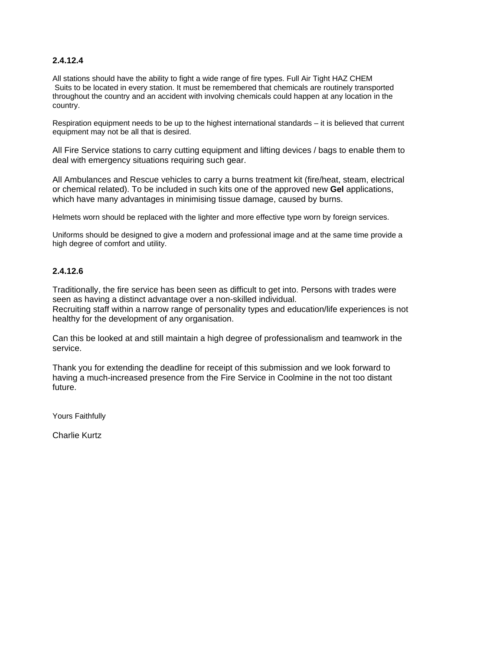## **2.4.12.4**

All stations should have the ability to fight a wide range of fire types. Full Air Tight HAZ CHEM Suits to be located in every station. It must be remembered that chemicals are routinely transported throughout the country and an accident with involving chemicals could happen at any location in the country.

Respiration equipment needs to be up to the highest international standards – it is believed that current equipment may not be all that is desired.

All Fire Service stations to carry cutting equipment and lifting devices / bags to enable them to deal with emergency situations requiring such gear.

All Ambulances and Rescue vehicles to carry a burns treatment kit (fire/heat, steam, electrical or chemical related). To be included in such kits one of the approved new **Gel** applications, which have many advantages in minimising tissue damage, caused by burns.

Helmets worn should be replaced with the lighter and more effective type worn by foreign services.

Uniforms should be designed to give a modern and professional image and at the same time provide a high degree of comfort and utility.

## **2.4.12.6**

Traditionally, the fire service has been seen as difficult to get into. Persons with trades were seen as having a distinct advantage over a non-skilled individual.

Recruiting staff within a narrow range of personality types and education/life experiences is not healthy for the development of any organisation.

Can this be looked at and still maintain a high degree of professionalism and teamwork in the service.

Thank you for extending the deadline for receipt of this submission and we look forward to having a much-increased presence from the Fire Service in Coolmine in the not too distant future.

Yours Faithfully

Charlie Kurtz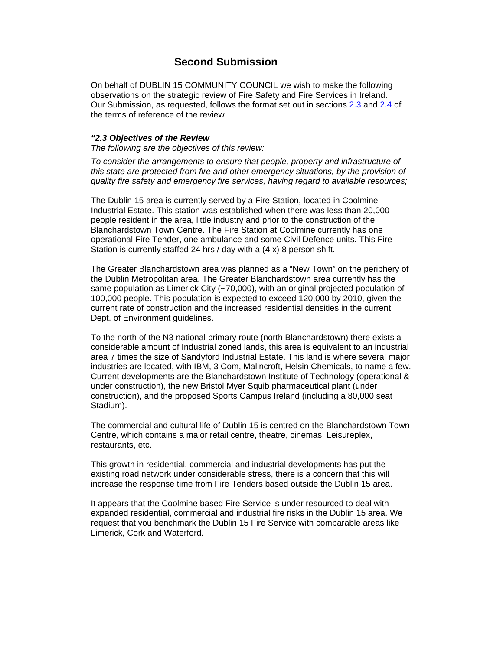# **Second Submission**

On behalf of DUBLIN 15 COMMUNITY COUNCIL we wish to make the following observations on the strategic review of Fire Safety and Fire Services in Ireland. Our Submission, as requested, follows the format set out in sections 2.3 and 2.4 of the terms of reference of the review

#### **"2.3 Objectives of the Review**

The following are the objectives of this review:

To consider the arrangements to ensure that people, property and infrastructure of this state are protected from fire and other emergency situations, by the provision of quality fire safety and emergency fire services, having regard to available resources;

The Dublin 15 area is currently served by a Fire Station, located in Coolmine Industrial Estate. This station was established when there was less than 20,000 people resident in the area, little industry and prior to the construction of the Blanchardstown Town Centre. The Fire Station at Coolmine currently has one operational Fire Tender, one ambulance and some Civil Defence units. This Fire Station is currently staffed 24 hrs / day with a (4 x) 8 person shift.

The Greater Blanchardstown area was planned as a "New Town" on the periphery of the Dublin Metropolitan area. The Greater Blanchardstown area currently has the same population as Limerick City (~70,000), with an original projected population of 100,000 people. This population is expected to exceed 120,000 by 2010, given the current rate of construction and the increased residential densities in the current Dept. of Environment guidelines.

To the north of the N3 national primary route (north Blanchardstown) there exists a considerable amount of Industrial zoned lands, this area is equivalent to an industrial area 7 times the size of Sandyford Industrial Estate. This land is where several major industries are located, with IBM, 3 Com, Malincroft, Helsin Chemicals, to name a few. Current developments are the Blanchardstown Institute of Technology (operational & under construction), the new Bristol Myer Squib pharmaceutical plant (under construction), and the proposed Sports Campus Ireland (including a 80,000 seat Stadium).

The commercial and cultural life of Dublin 15 is centred on the Blanchardstown Town Centre, which contains a major retail centre, theatre, cinemas, Leisureplex, restaurants, etc.

This growth in residential, commercial and industrial developments has put the existing road network under considerable stress, there is a concern that this will increase the response time from Fire Tenders based outside the Dublin 15 area.

It appears that the Coolmine based Fire Service is under resourced to deal with expanded residential, commercial and industrial fire risks in the Dublin 15 area. We request that you benchmark the Dublin 15 Fire Service with comparable areas like Limerick, Cork and Waterford.